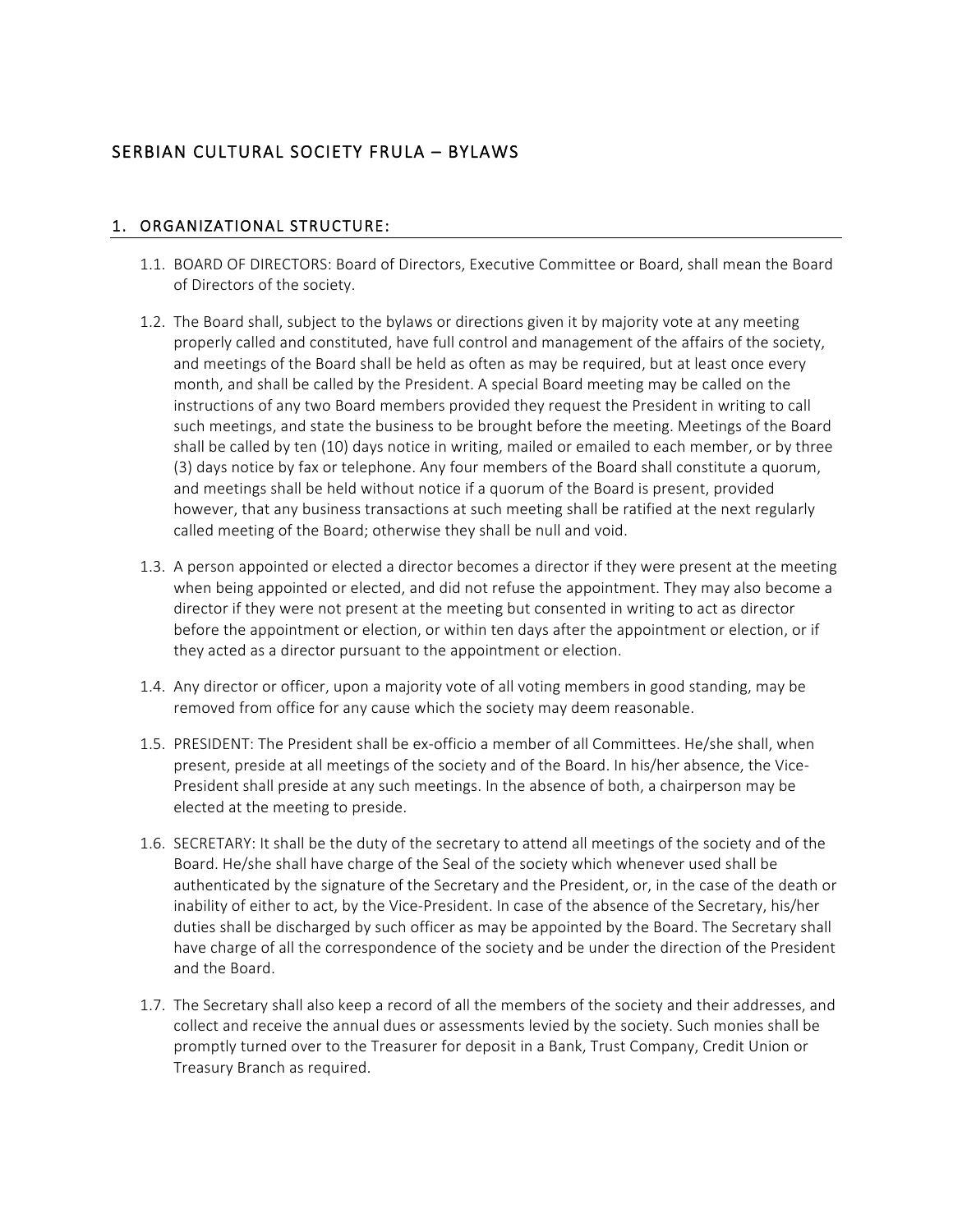# SERBIAN CULTURAL SOCIETY FRULA – BYLAWS

#### 1. ORGANIZATIONAL STRUCTURE:

- 1.1. BOARD OF DIRECTORS: Board of Directors, Executive Committee or Board, shall mean the Board of Directors of the society.
- 1.2. The Board shall, subject to the bylaws or directions given it by majority vote at any meeting properly called and constituted, have full control and management of the affairs of the society, and meetings of the Board shall be held as often as may be required, but at least once every month, and shall be called by the President. A special Board meeting may be called on the instructions of any two Board members provided they request the President in writing to call such meetings, and state the business to be brought before the meeting. Meetings of the Board shall be called by ten (10) days notice in writing, mailed or emailed to each member, or by three (3) days notice by fax or telephone. Any four members of the Board shall constitute a quorum, and meetings shall be held without notice if a quorum of the Board is present, provided however, that any business transactions at such meeting shall be ratified at the next regularly called meeting of the Board; otherwise they shall be null and void.
- 1.3. A person appointed or elected a director becomes a director if they were present at the meeting when being appointed or elected, and did not refuse the appointment. They may also become a director if they were not present at the meeting but consented in writing to act as director before the appointment or election, or within ten days after the appointment or election, or if they acted as a director pursuant to the appointment or election.
- 1.4. Any director or officer, upon a majority vote of all voting members in good standing, may be removed from office for any cause which the society may deem reasonable.
- 1.5. PRESIDENT: The President shall be ex-officio a member of all Committees. He/she shall, when present, preside at all meetings of the society and of the Board. In his/her absence, the Vice-President shall preside at any such meetings. In the absence of both, a chairperson may be elected at the meeting to preside.
- 1.6. SECRETARY: It shall be the duty of the secretary to attend all meetings of the society and of the Board. He/she shall have charge of the Seal of the society which whenever used shall be authenticated by the signature of the Secretary and the President, or, in the case of the death or inability of either to act, by the Vice-President. In case of the absence of the Secretary, his/her duties shall be discharged by such officer as may be appointed by the Board. The Secretary shall have charge of all the correspondence of the society and be under the direction of the President and the Board.
- 1.7. The Secretary shall also keep a record of all the members of the society and their addresses, and collect and receive the annual dues or assessments levied by the society. Such monies shall be promptly turned over to the Treasurer for deposit in a Bank, Trust Company, Credit Union or Treasury Branch as required.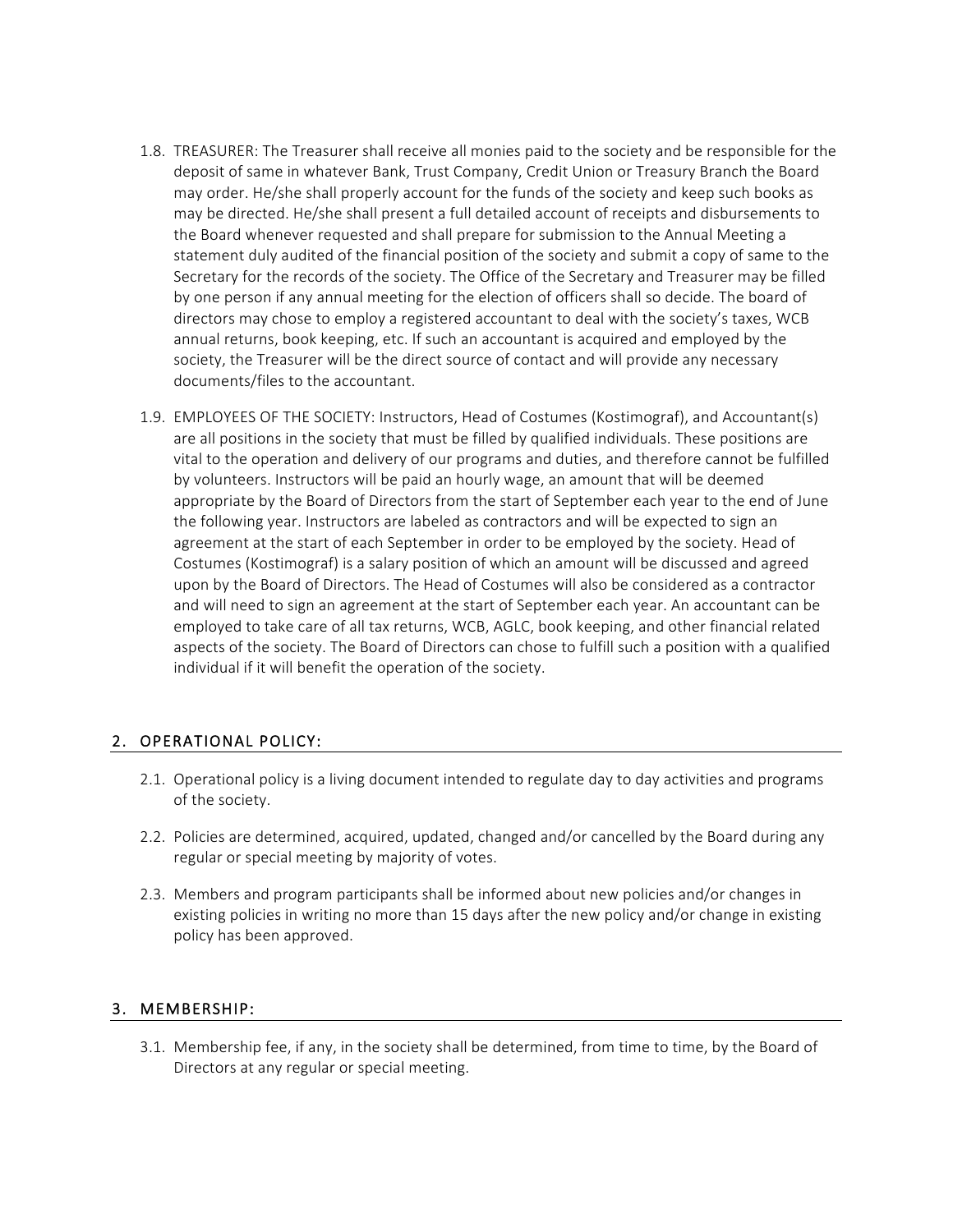- 1.8. TREASURER: The Treasurer shall receive all monies paid to the society and be responsible for the deposit of same in whatever Bank, Trust Company, Credit Union or Treasury Branch the Board may order. He/she shall properly account for the funds of the society and keep such books as may be directed. He/she shall present a full detailed account of receipts and disbursements to the Board whenever requested and shall prepare for submission to the Annual Meeting a statement duly audited of the financial position of the society and submit a copy of same to the Secretary for the records of the society. The Office of the Secretary and Treasurer may be filled by one person if any annual meeting for the election of officers shall so decide. The board of directors may chose to employ a registered accountant to deal with the society's taxes, WCB annual returns, book keeping, etc. If such an accountant is acquired and employed by the society, the Treasurer will be the direct source of contact and will provide any necessary documents/files to the accountant.
- 1.9. EMPLOYEES OF THE SOCIETY: Instructors, Head of Costumes (Kostimograf), and Accountant(s) are all positions in the society that must be filled by qualified individuals. These positions are vital to the operation and delivery of our programs and duties, and therefore cannot be fulfilled by volunteers. Instructors will be paid an hourly wage, an amount that will be deemed appropriate by the Board of Directors from the start of September each year to the end of June the following year. Instructors are labeled as contractors and will be expected to sign an agreement at the start of each September in order to be employed by the society. Head of Costumes (Kostimograf) is a salary position of which an amount will be discussed and agreed upon by the Board of Directors. The Head of Costumes will also be considered as a contractor and will need to sign an agreement at the start of September each year. An accountant can be employed to take care of all tax returns, WCB, AGLC, book keeping, and other financial related aspects of the society. The Board of Directors can chose to fulfill such a position with a qualified individual if it will benefit the operation of the society.

### 2. OPERATIONAL POLICY:

- 2.1. Operational policy is a living document intended to regulate day to day activities and programs of the society.
- 2.2. Policies are determined, acquired, updated, changed and/or cancelled by the Board during any regular or special meeting by majority of votes.
- 2.3. Members and program participants shall be informed about new policies and/or changes in existing policies in writing no more than 15 days after the new policy and/or change in existing policy has been approved.

### 3. MEMBERSHIP:

3.1. Membership fee, if any, in the society shall be determined, from time to time, by the Board of Directors at any regular or special meeting.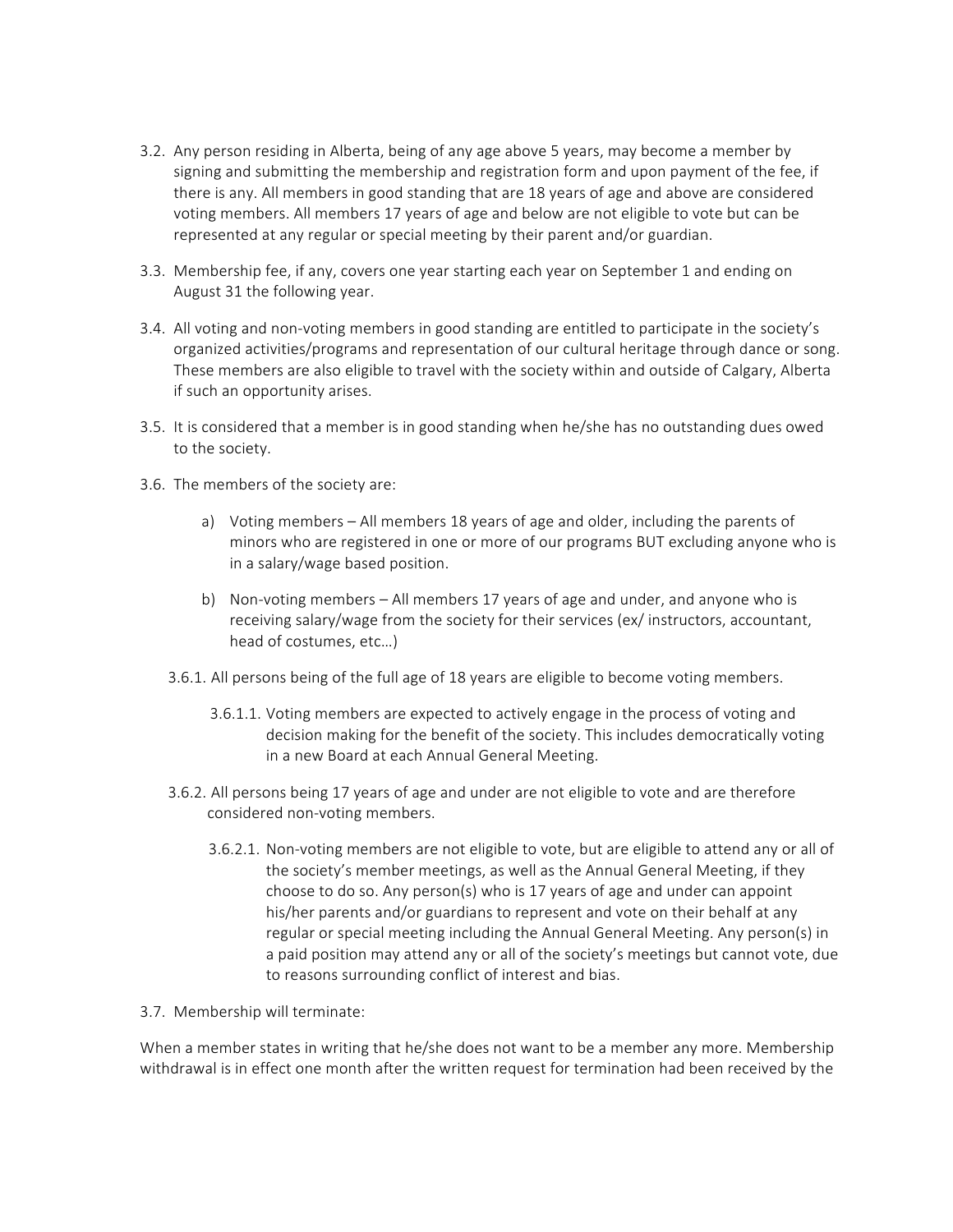- 3.2. Any person residing in Alberta, being of any age above 5 years, may become a member by signing and submitting the membership and registration form and upon payment of the fee, if there is any. All members in good standing that are 18 years of age and above are considered voting members. All members 17 years of age and below are not eligible to vote but can be represented at any regular or special meeting by their parent and/or guardian.
- 3.3. Membership fee, if any, covers one year starting each year on September 1 and ending on August 31 the following year.
- 3.4. All voting and non-voting members in good standing are entitled to participate in the society's organized activities/programs and representation of our cultural heritage through dance or song. These members are also eligible to travel with the society within and outside of Calgary, Alberta if such an opportunity arises.
- 3.5. It is considered that a member is in good standing when he/she has no outstanding dues owed to the society.
- 3.6. The members of the society are:
	- a) Voting members All members 18 years of age and older, including the parents of minors who are registered in one or more of our programs BUT excluding anyone who is in a salary/wage based position.
	- b) Non-voting members All members 17 years of age and under, and anyone who is receiving salary/wage from the society for their services (ex/ instructors, accountant, head of costumes, etc…)
	- 3.6.1. All persons being of the full age of 18 years are eligible to become voting members.
		- 3.6.1.1. Voting members are expected to actively engage in the process of voting and decision making for the benefit of the society. This includes democratically voting in a new Board at each Annual General Meeting.
	- 3.6.2. All persons being 17 years of age and under are not eligible to vote and are therefore considered non-voting members.
		- 3.6.2.1. Non-voting members are not eligible to vote, but are eligible to attend any or all of the society's member meetings, as well as the Annual General Meeting, if they choose to do so. Any person(s) who is 17 years of age and under can appoint his/her parents and/or guardians to represent and vote on their behalf at any regular or special meeting including the Annual General Meeting. Any person(s) in a paid position may attend any or all of the society's meetings but cannot vote, due to reasons surrounding conflict of interest and bias.
- 3.7. Membership will terminate:

When a member states in writing that he/she does not want to be a member any more. Membership withdrawal is in effect one month after the written request for termination had been received by the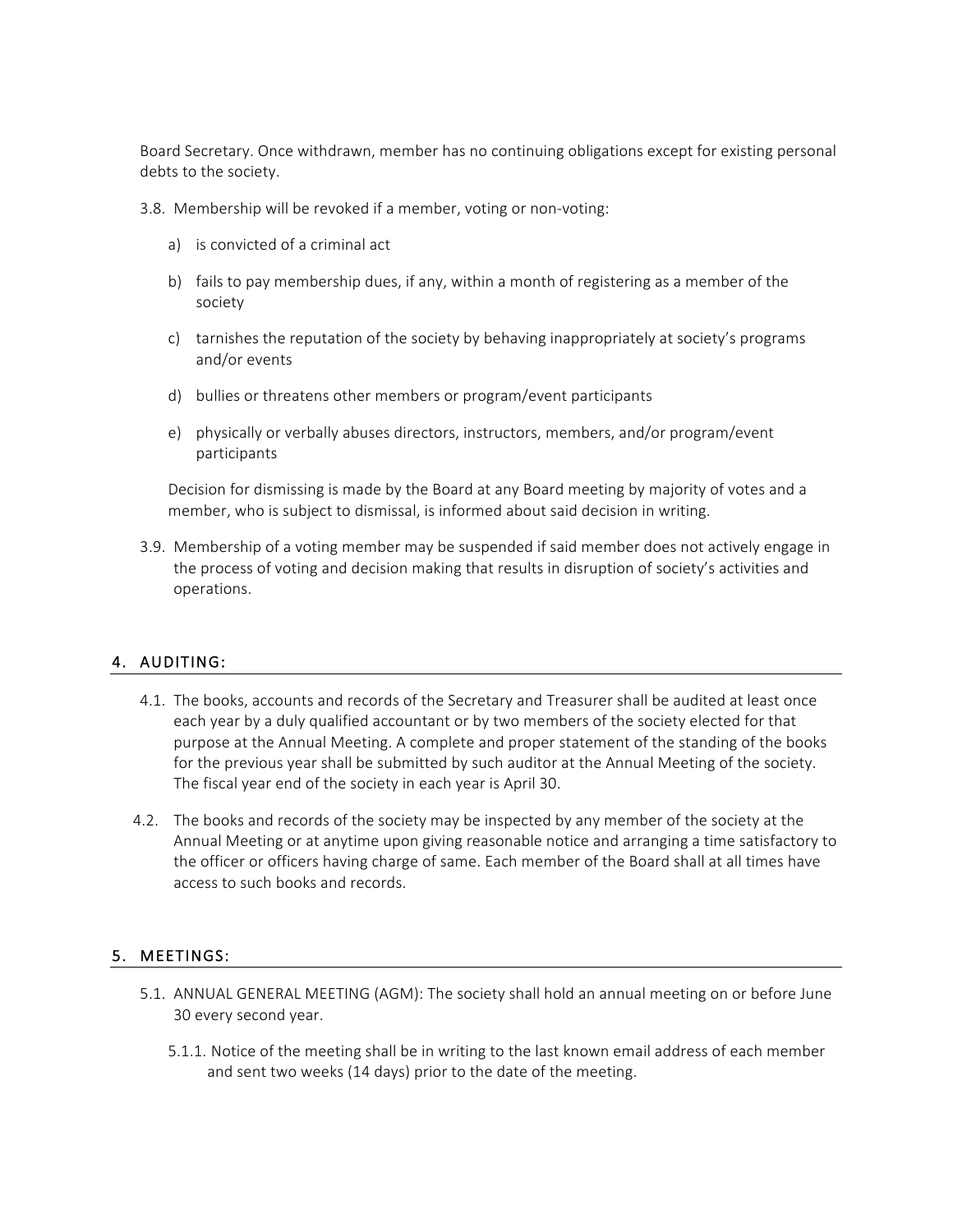Board Secretary. Once withdrawn, member has no continuing obligations except for existing personal debts to the society.

3.8. Membership will be revoked if a member, voting or non-voting:

- a) is convicted of a criminal act
- b) fails to pay membership dues, if any, within a month of registering as a member of the society
- c) tarnishes the reputation of the society by behaving inappropriately at society's programs and/or events
- d) bullies or threatens other members or program/event participants
- e) physically or verbally abuses directors, instructors, members, and/or program/event participants

Decision for dismissing is made by the Board at any Board meeting by majority of votes and a member, who is subject to dismissal, is informed about said decision in writing.

3.9. Membership of a voting member may be suspended if said member does not actively engage in the process of voting and decision making that results in disruption of society's activities and operations.

### 4. AUDITING:

- 4.1. The books, accounts and records of the Secretary and Treasurer shall be audited at least once each year by a duly qualified accountant or by two members of the society elected for that purpose at the Annual Meeting. A complete and proper statement of the standing of the books for the previous year shall be submitted by such auditor at the Annual Meeting of the society. The fiscal year end of the society in each year is April 30.
- 4.2. The books and records of the society may be inspected by any member of the society at the Annual Meeting or at anytime upon giving reasonable notice and arranging a time satisfactory to the officer or officers having charge of same. Each member of the Board shall at all times have access to such books and records.

#### 5. MEETINGS:

- 5.1. ANNUAL GENERAL MEETING (AGM): The society shall hold an annual meeting on or before June 30 every second year.
	- 5.1.1. Notice of the meeting shall be in writing to the last known email address of each member and sent two weeks (14 days) prior to the date of the meeting.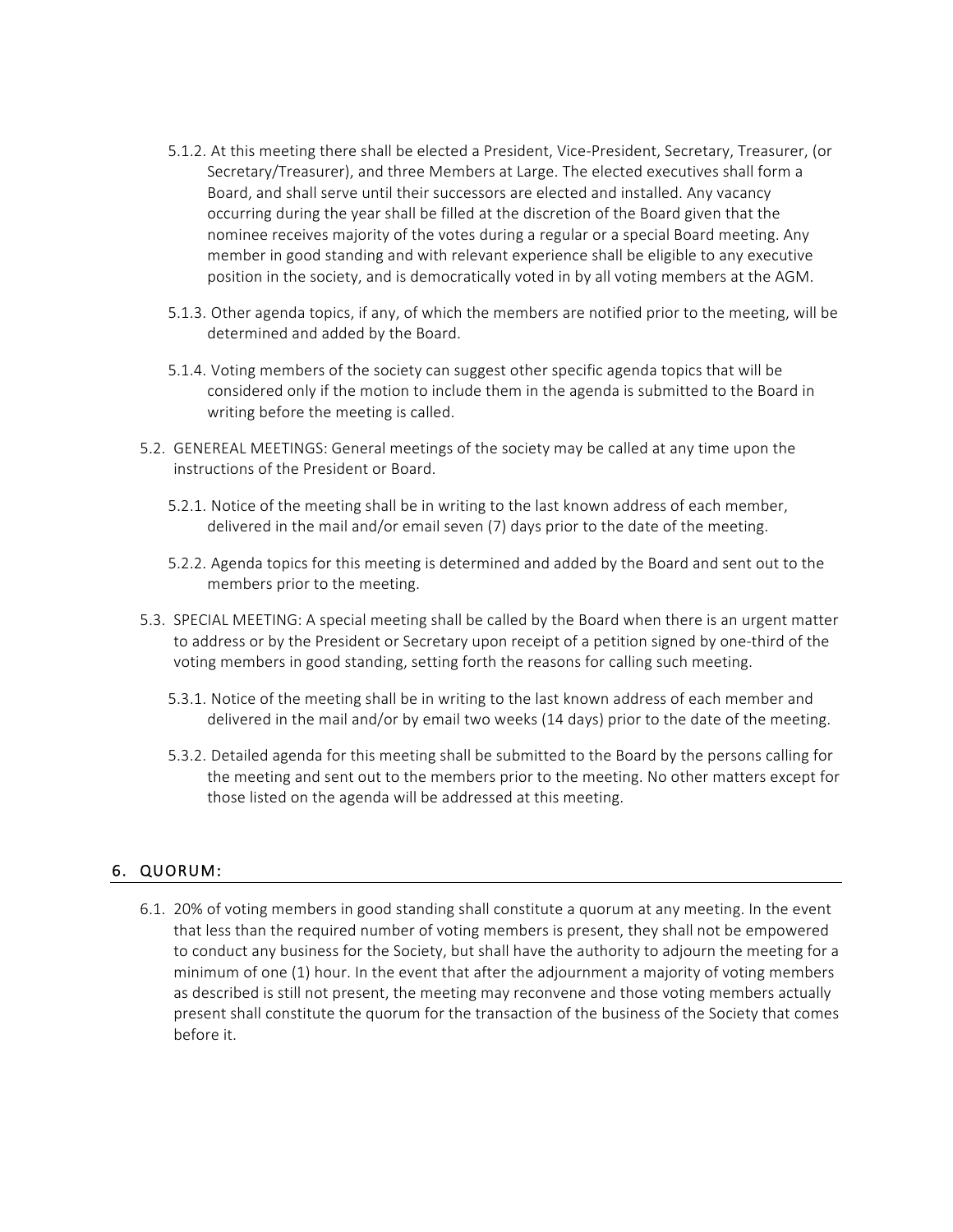- 5.1.2. At this meeting there shall be elected a President, Vice-President, Secretary, Treasurer, (or Secretary/Treasurer), and three Members at Large. The elected executives shall form a Board, and shall serve until their successors are elected and installed. Any vacancy occurring during the year shall be filled at the discretion of the Board given that the nominee receives majority of the votes during a regular or a special Board meeting. Any member in good standing and with relevant experience shall be eligible to any executive position in the society, and is democratically voted in by all voting members at the AGM.
- 5.1.3. Other agenda topics, if any, of which the members are notified prior to the meeting, will be determined and added by the Board.
- 5.1.4. Voting members of the society can suggest other specific agenda topics that will be considered only if the motion to include them in the agenda is submitted to the Board in writing before the meeting is called.
- 5.2. GENEREAL MEETINGS: General meetings of the society may be called at any time upon the instructions of the President or Board.
	- 5.2.1. Notice of the meeting shall be in writing to the last known address of each member, delivered in the mail and/or email seven (7) days prior to the date of the meeting.
	- 5.2.2. Agenda topics for this meeting is determined and added by the Board and sent out to the members prior to the meeting.
- 5.3. SPECIAL MEETING: A special meeting shall be called by the Board when there is an urgent matter to address or by the President or Secretary upon receipt of a petition signed by one-third of the voting members in good standing, setting forth the reasons for calling such meeting.
	- 5.3.1. Notice of the meeting shall be in writing to the last known address of each member and delivered in the mail and/or by email two weeks (14 days) prior to the date of the meeting.
	- 5.3.2. Detailed agenda for this meeting shall be submitted to the Board by the persons calling for the meeting and sent out to the members prior to the meeting. No other matters except for those listed on the agenda will be addressed at this meeting.

#### 6. QUORUM:

6.1. 20% of voting members in good standing shall constitute a quorum at any meeting. In the event that less than the required number of voting members is present, they shall not be empowered to conduct any business for the Society, but shall have the authority to adjourn the meeting for a minimum of one (1) hour. In the event that after the adjournment a majority of voting members as described is still not present, the meeting may reconvene and those voting members actually present shall constitute the quorum for the transaction of the business of the Society that comes before it.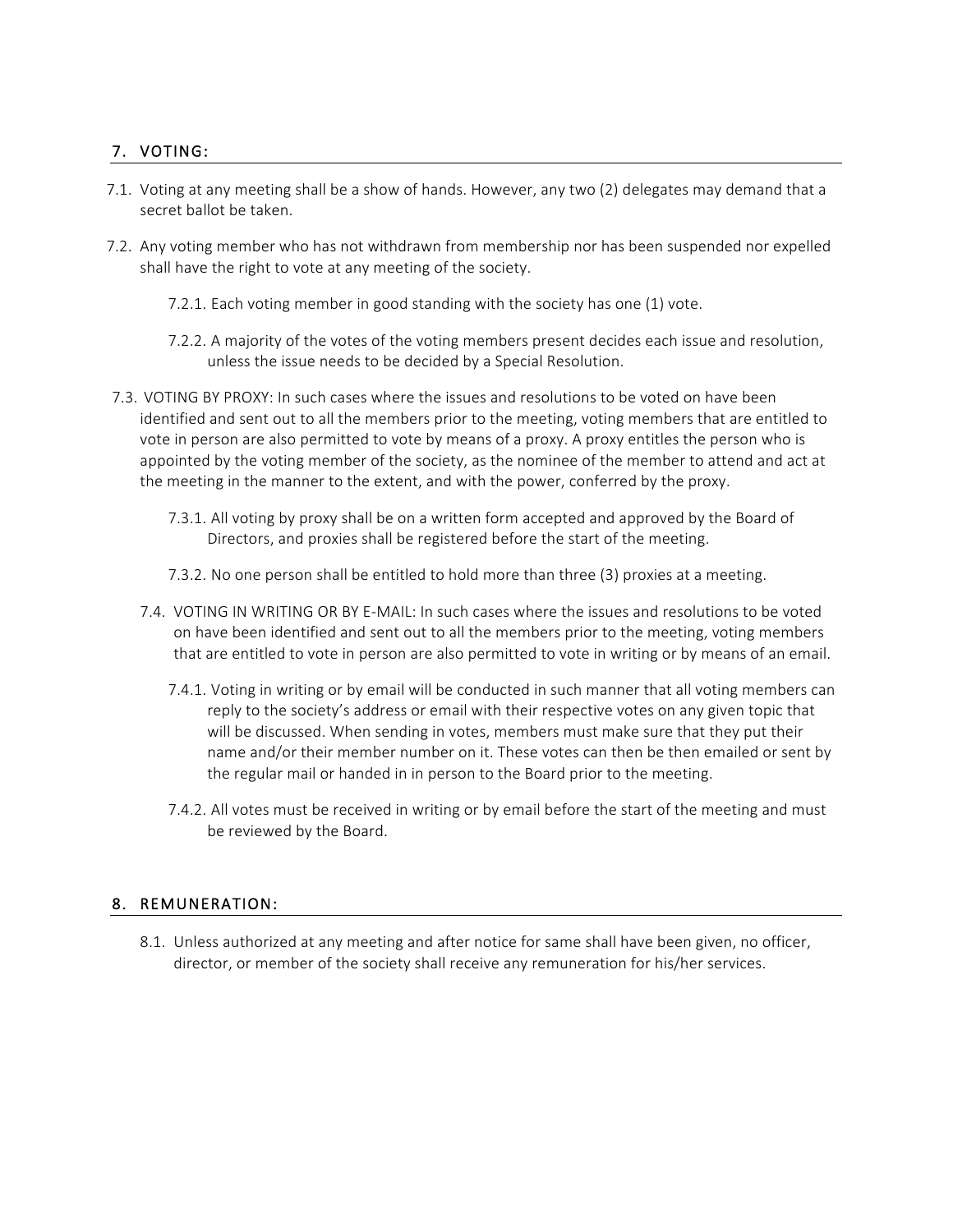## 7. VOTING:

- 7.1. Voting at any meeting shall be a show of hands. However, any two (2) delegates may demand that a secret ballot be taken.
- 7.2. Any voting member who has not withdrawn from membership nor has been suspended nor expelled shall have the right to vote at any meeting of the society.
	- 7.2.1. Each voting member in good standing with the society has one (1) vote.
	- 7.2.2. A majority of the votes of the voting members present decides each issue and resolution, unless the issue needs to be decided by a Special Resolution.
- 7.3. VOTING BY PROXY: In such cases where the issues and resolutions to be voted on have been identified and sent out to all the members prior to the meeting, voting members that are entitled to vote in person are also permitted to vote by means of a proxy. A proxy entitles the person who is appointed by the voting member of the society, as the nominee of the member to attend and act at the meeting in the manner to the extent, and with the power, conferred by the proxy.
	- 7.3.1. All voting by proxy shall be on a written form accepted and approved by the Board of Directors, and proxies shall be registered before the start of the meeting.
	- 7.3.2. No one person shall be entitled to hold more than three (3) proxies at a meeting.
	- 7.4. VOTING IN WRITING OR BY E-MAIL: In such cases where the issues and resolutions to be voted on have been identified and sent out to all the members prior to the meeting, voting members that are entitled to vote in person are also permitted to vote in writing or by means of an email.
		- 7.4.1. Voting in writing or by email will be conducted in such manner that all voting members can reply to the society's address or email with their respective votes on any given topic that will be discussed. When sending in votes, members must make sure that they put their name and/or their member number on it. These votes can then be then emailed or sent by the regular mail or handed in in person to the Board prior to the meeting.
		- 7.4.2. All votes must be received in writing or by email before the start of the meeting and must be reviewed by the Board.

#### 8. REMUNERATION:

8.1. Unless authorized at any meeting and after notice for same shall have been given, no officer, director, or member of the society shall receive any remuneration for his/her services.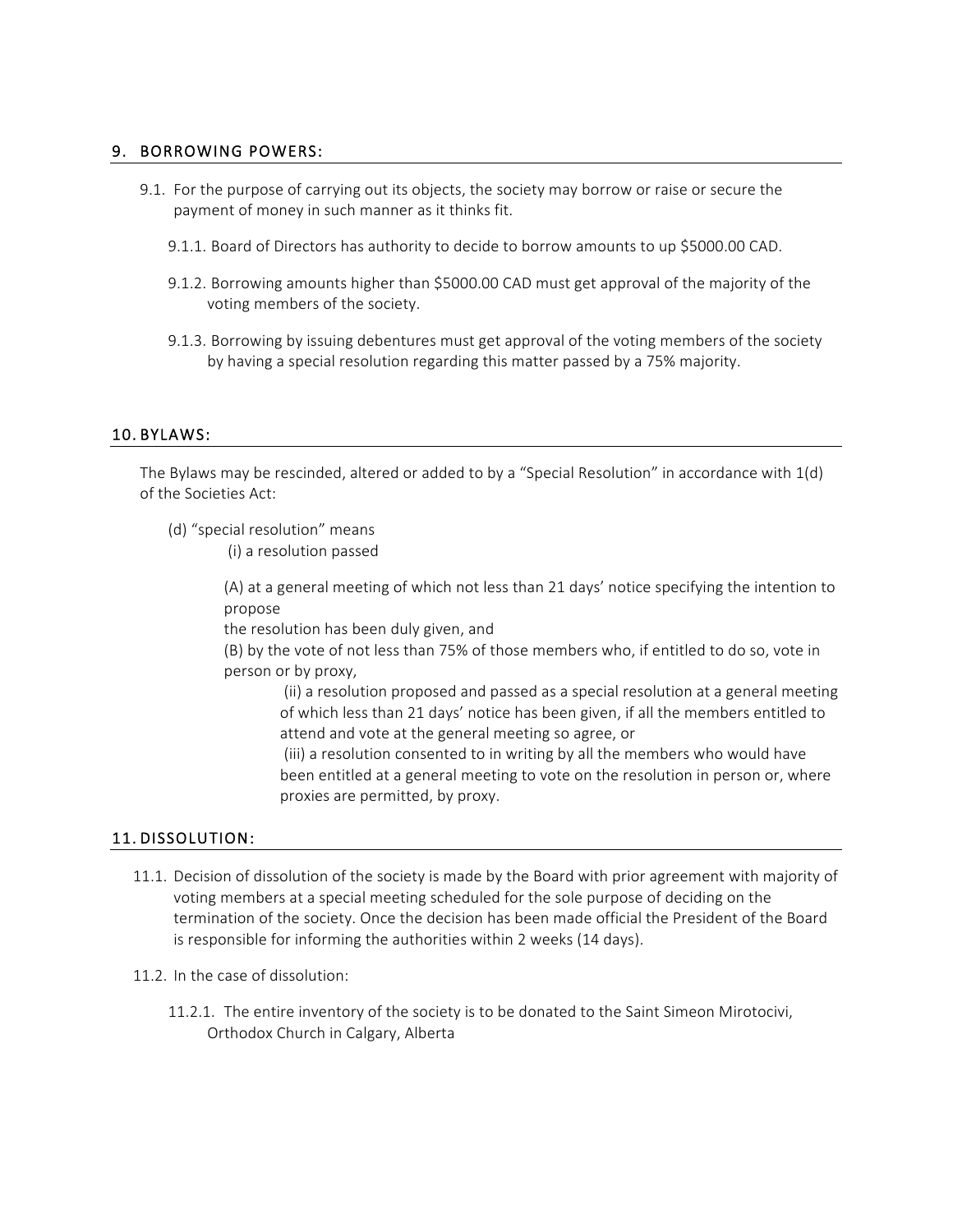#### 9. BORROWING POWERS:

- 9.1. For the purpose of carrying out its objects, the society may borrow or raise or secure the payment of money in such manner as it thinks fit.
	- 9.1.1. Board of Directors has authority to decide to borrow amounts to up \$5000.00 CAD.
	- 9.1.2. Borrowing amounts higher than \$5000.00 CAD must get approval of the majority of the voting members of the society.
	- 9.1.3. Borrowing by issuing debentures must get approval of the voting members of the society by having a special resolution regarding this matter passed by a 75% majority.

#### 10. BYLAWS:

The Bylaws may be rescinded, altered or added to by a "Special Resolution" in accordance with 1(d) of the Societies Act:

(d) "special resolution" means

(i) a resolution passed

(A) at a general meeting of which not less than 21 days' notice specifying the intention to propose

the resolution has been duly given, and

(B) by the vote of not less than 75% of those members who, if entitled to do so, vote in person or by proxy,

(ii) a resolution proposed and passed as a special resolution at a general meeting of which less than 21 days' notice has been given, if all the members entitled to attend and vote at the general meeting so agree, or

(iii) a resolution consented to in writing by all the members who would have been entitled at a general meeting to vote on the resolution in person or, where proxies are permitted, by proxy.

#### 11. DISSOLUTION:

- 11.1. Decision of dissolution of the society is made by the Board with prior agreement with majority of voting members at a special meeting scheduled for the sole purpose of deciding on the termination of the society. Once the decision has been made official the President of the Board is responsible for informing the authorities within 2 weeks (14 days).
- 11.2. In the case of dissolution:
	- 11.2.1. The entire inventory of the society is to be donated to the Saint Simeon Mirotocivi, Orthodox Church in Calgary, Alberta